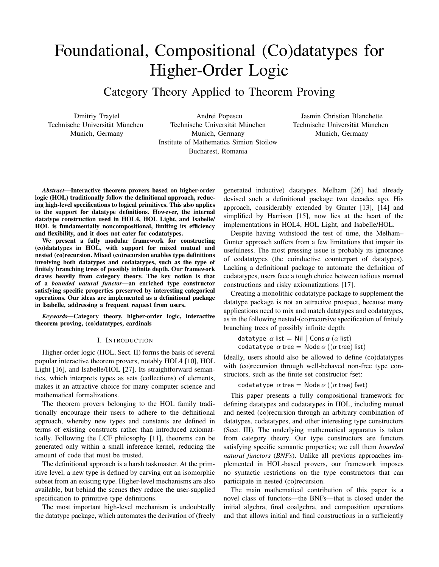# Foundational, Compositional (Co)datatypes for Higher-Order Logic

Category Theory Applied to Theorem Proving

Dmitriy Traytel Technische Universität München Munich, Germany

Andrei Popescu Technische Universität München Munich, Germany Institute of Mathematics Simion Stoilow Bucharest, Romania

Jasmin Christian Blanchette Technische Universität München Munich, Germany

*Abstract*—Interactive theorem provers based on higher-order logic (HOL) traditionally follow the definitional approach, reducing high-level specifications to logical primitives. This also applies to the support for datatype definitions. However, the internal datatype construction used in HOL4, HOL Light, and Isabelle/ HOL is fundamentally noncompositional, limiting its efficiency and flexibility, and it does not cater for codatatypes.

We present a fully modular framework for constructing (co)datatypes in HOL, with support for mixed mutual and nested (co)recursion. Mixed (co)recursion enables type definitions involving both datatypes and codatatypes, such as the type of finitely branching trees of possibly infinite depth. Our framework draws heavily from category theory. The key notion is that of a *bounded natural functor*—an enriched type constructor satisfying specific properties preserved by interesting categorical operations. Our ideas are implemented as a definitional package in Isabelle, addressing a frequent request from users.

*Keywords*—Category theory, higher-order logic, interactive theorem proving, (co)datatypes, cardinals

## I. INTRODUCTION

Higher-order logic (HOL, Sect. II) forms the basis of several popular interactive theorem provers, notably HOL4 [10], HOL Light [16], and Isabelle/HOL [27]. Its straightforward semantics, which interprets types as sets (collections) of elements, makes it an attractive choice for many computer science and mathematical formalizations.

The theorem provers belonging to the HOL family traditionally encourage their users to adhere to the definitional approach, whereby new types and constants are defined in terms of existing constructs rather than introduced axiomatically. Following the LCF philosophy [11], theorems can be generated only within a small inference kernel, reducing the amount of code that must be trusted.

The definitional approach is a harsh taskmaster. At the primitive level, a new type is defined by carving out an isomorphic subset from an existing type. Higher-level mechanisms are also available, but behind the scenes they reduce the user-supplied specification to primitive type definitions.

The most important high-level mechanism is undoubtedly the datatype package, which automates the derivation of (freely

generated inductive) datatypes. Melham [26] had already devised such a definitional package two decades ago. His approach, considerably extended by Gunter [13], [14] and simplified by Harrison [15], now lies at the heart of the implementations in HOL4, HOL Light, and Isabelle/HOL.

Despite having withstood the test of time, the Melham– Gunter approach suffers from a few limitations that impair its usefulness. The most pressing issue is probably its ignorance of codatatypes (the coinductive counterpart of datatypes). Lacking a definitional package to automate the definition of codatatypes, users face a tough choice between tedious manual constructions and risky axiomatizations [17].

Creating a monolithic codatatype package to supplement the datatype package is not an attractive prospect, because many applications need to mix and match datatypes and codatatypes, as in the following nested-(co)recursive specification of finitely branching trees of possibly infinite depth:

datatype  $\alpha$  list = Nil | Cons  $\alpha$  ( $\alpha$  list) codatatype  $\alpha$  tree = Node  $\alpha$  (( $\alpha$  tree) list)

Ideally, users should also be allowed to define (co)datatypes with (co)recursion through well-behaved non-free type constructors, such as the finite set constructor fset:

codatatype  $\alpha$  tree = Node  $\alpha$  (( $\alpha$  tree) fset)

This paper presents a fully compositional framework for defining datatypes and codatatypes in HOL, including mutual and nested (co)recursion through an arbitrary combination of datatypes, codatatypes, and other interesting type constructors (Sect. III). The underlying mathematical apparatus is taken from category theory. Our type constructors are functors satisfying specific semantic properties; we call them *bounded natural functors* (*BNFs*). Unlike all previous approaches implemented in HOL-based provers, our framework imposes no syntactic restrictions on the type constructors that can participate in nested (co)recursion.

The main mathematical contribution of this paper is a novel class of functors—the BNFs—that is closed under the initial algebra, final coalgebra, and composition operations and that allows initial and final constructions in a sufficiently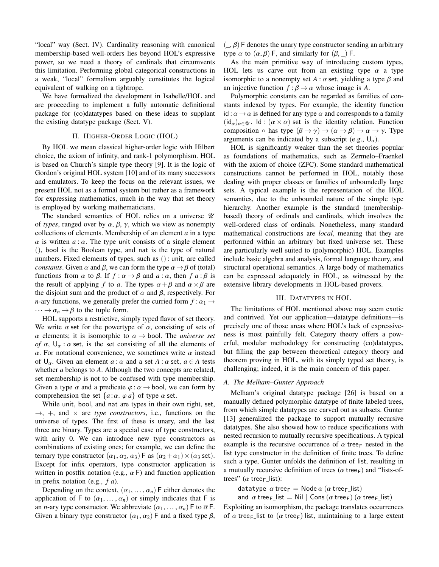"local" way (Sect. IV). Cardinality reasoning with canonical membership-based well-orders lies beyond HOL's expressive power, so we need a theory of cardinals that circumvents this limitation. Performing global categorical constructions in a weak, "local" formalism arguably constitutes the logical equivalent of walking on a tightrope.

We have formalized the development in Isabelle/HOL and are proceeding to implement a fully automatic definitional package for (co)datatypes based on these ideas to supplant the existing datatype package (Sect. V).

# II. HIGHER-ORDER LOGIC (HOL)

By HOL we mean classical higher-order logic with Hilbert choice, the axiom of infinity, and rank-1 polymorphism. HOL is based on Church's simple type theory [9]. It is the logic of Gordon's original HOL system [10] and of its many successors and emulators. To keep the focus on the relevant issues, we present HOL not as a formal system but rather as a framework for expressing mathematics, much in the way that set theory is employed by working mathematicians.

The standard semantics of HOL relies on a universe  $\mathcal U$ of *types*, ranged over by  $\alpha$ ,  $\beta$ ,  $\gamma$ , which we view as nonempty collections of elements. Membership of an element *a* in a type  $\alpha$  is written  $a : \alpha$ . The type unit consists of a single element (), bool is the Boolean type, and nat is the type of natural numbers. Fixed elements of types, such as () : unit, are called *constants*. Given  $\alpha$  and  $\beta$ , we can form the type  $\alpha \rightarrow \beta$  of (total) functions from  $\alpha$  to  $\beta$ . If  $f : \alpha \rightarrow \beta$  and  $a : \alpha$ , then  $f \alpha : \beta$  is the result of applying *f* to *a*. The types  $\alpha + \beta$  and  $\alpha \times \beta$  are the disjoint sum and the product of  $\alpha$  and  $\beta$ , respectively. For *n*-ary functions, we generally prefer the curried form  $f : \alpha_1 \rightarrow$  $\cdots \rightarrow \alpha_n \rightarrow \beta$  to the tuple form.

HOL supports a restrictive, simply typed flavor of set theory. We write  $\alpha$  set for the powertype of  $\alpha$ , consisting of sets of  $\alpha$  elements; it is isomorphic to  $\alpha \rightarrow$  bool. The *universe set of*  $\alpha$ ,  $\bigcup_{\alpha}$ :  $\alpha$  set, is the set consisting of all the elements of α. For notational convenience, we sometimes write  $α$  instead of  $\bigcup_{\alpha}$ . Given an element  $a : \alpha$  and a set  $A : \alpha$  set,  $a \in A$  tests whether *a* belongs to *A*. Although the two concepts are related, set membership is not to be confused with type membership. Given a type  $\alpha$  and a predicate  $\varphi : \alpha \to \text{bool}$ , we can form by comprehension the set  $\{a : \alpha, \varphi \mid a\}$  of type  $\alpha$  set.

While unit, bool, and nat are types in their own right, set,  $\rightarrow$ ,  $+$ , and  $\times$  are *type constructors*, i.e., functions on the universe of types. The first of these is unary, and the last three are binary. Types are a special case of type constructors, with arity 0. We can introduce new type constructors as combinations of existing ones; for example, we can define the ternary type constructor  $(\alpha_1, \alpha_2, \alpha_3)$  F as  $(\alpha_2 + \alpha_1) \times (\alpha_3 \text{ set})$ . Except for infix operators, type constructor application is written in postfix notation (e.g.,  $\alpha$  F) and function application in prefix notation (e.g., *f a*).

Depending on the context,  $(\alpha_1, \ldots, \alpha_n)$  F either denotes the application of F to  $(\alpha_1, \ldots, \alpha_n)$  or simply indicates that F is an *n*-ary type constructor. We abbreviate  $(\alpha_1, \dots, \alpha_n)$  F to  $\overline{\alpha}$  F. Given a binary type constructor  $(\alpha_1, \alpha_2)$  F and a fixed type  $\beta$ ,

 $(\cdot, \beta)$  F denotes the unary type constructor sending an arbitrary type  $\alpha$  to  $(\alpha, \beta)$  F, and similarly for  $(\beta, \_)$  F.

As the main primitive way of introducing custom types, HOL lets us carve out from an existing type  $\alpha$  a type isomorphic to a nonempty set  $A : \alpha$  set, yielding a type  $\beta$  and an injective function  $f : \beta \to \alpha$  whose image is *A*.

Polymorphic constants can be regarded as families of constants indexed by types. For example, the identity function id :  $\alpha \rightarrow \alpha$  is defined for any type  $\alpha$  and corresponds to a family  $(id_{\alpha})_{\alpha\in\mathscr{U}}$ . Id :  $(\alpha\times\alpha)$  set is the identity relation. Function composition  $\circ$  has type  $(\beta \to \gamma) \to (\alpha \to \beta) \to \alpha \to \gamma$ . Type arguments can be indicated by a subscript (e.g.,  $U_{\alpha}$ ).

HOL is significantly weaker than the set theories popular as foundations of mathematics, such as Zermelo–Fraenkel with the axiom of choice (ZFC). Some standard mathematical constructions cannot be performed in HOL, notably those dealing with proper classes or families of unboundedly large sets. A typical example is the representation of the HOL semantics, due to the unbounded nature of the simple type hierarchy. Another example is the standard (membershipbased) theory of ordinals and cardinals, which involves the well-ordered class of ordinals. Nonetheless, many standard mathematical constructions are *local*, meaning that they are performed within an arbitrary but fixed universe set. These are particularly well suited to (polymorphic) HOL. Examples include basic algebra and analysis, formal language theory, and structural operational semantics. A large body of mathematics can be expressed adequately in HOL, as witnessed by the extensive library developments in HOL-based provers.

#### III. DATATYPES IN HOL

The limitations of HOL mentioned above may seem exotic and contrived. Yet our application—datatype definitions—is precisely one of those areas where HOL's lack of expressiveness is most painfully felt. Category theory offers a powerful, modular methodology for constructing (co)datatypes, but filling the gap between theoretical category theory and theorem proving in HOL, with its simply typed set theory, is challenging; indeed, it is the main concern of this paper.

## *A. The Melham–Gunter Approach*

Melham's original datatype package [26] is based on a manually defined polymorphic datatype of finite labeled trees, from which simple datatypes are carved out as subsets. Gunter [13] generalized the package to support mutually recursive datatypes. She also showed how to reduce specifications with nested recursion to mutually recursive specifications. A typical example is the recursive occurrence of  $\alpha$  tree<sub>F</sub> nested in the list type constructor in the definition of finite trees. To define such a type, Gunter unfolds the definition of list, resulting in a mutually recursive definition of trees ( $\alpha$  tree<sub>F</sub>) and "lists-oftrees" ( $\alpha$  tree<sub>F\_</sub>list):

```
datatype \alpha tree<sub>F</sub> = Node \alpha (\alpha tree<sub>F</sub> list)
```

```
and \alpha tree<sub>F</sub> list = Nil | Cons (\alpha tree<sub>F</sub>) (\alpha tree<sub>F</sub> list)
```
Exploiting an isomorphism, the package translates occurrences of  $\alpha$  tree<sub>F</sub> list to ( $\alpha$  tree<sub>F</sub>) list, maintaining to a large extent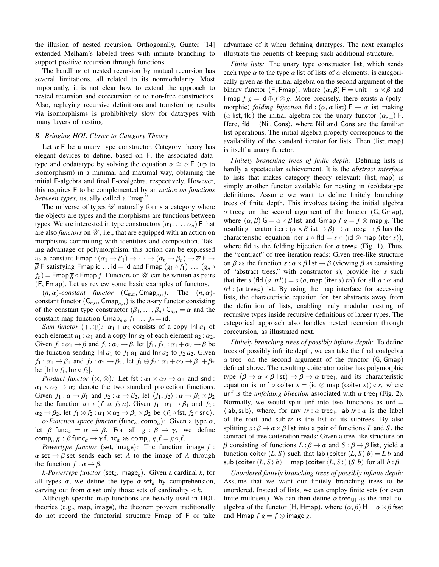the illusion of nested recursion. Orthogonally, Gunter [14] extended Melham's labeled trees with infinite branching to support positive recursion through functions.

The handling of nested recursion by mutual recursion has several limitations, all related to its nonmodularity. Most importantly, it is not clear how to extend the approach to nested recursion and corecursion or to non-free constructors. Also, replaying recursive definitions and transferring results via isomorphisms is prohibitively slow for datatypes with many layers of nesting.

#### *B. Bringing HOL Closer to Category Theory*

Let  $\alpha$  F be a unary type constructor. Category theory has elegant devices to define, based on F, the associated datatype and codatatype by solving the equation  $\alpha \cong \alpha \mathsf{F}$  (up to isomorphism) in a minimal and maximal way, obtaining the initial F-algebra and final F-coalgebra, respectively. However, this requires F to be complemented by an *action on functions between types*, usually called a "map."

The universe of types  $\mathcal U$  naturally forms a category where the objects are types and the morphisms are functions between types. We are interested in type constructors  $(\alpha_1, \dots, \alpha_n)$  F that are also *functors* on  $\mathcal{U}$ , i.e., that are equipped with an action on morphisms commuting with identities and composition. Taking advantage of polymorphism, this action can be expressed as a constant Fmap :  $(\alpha_1 \rightarrow \beta_1) \rightarrow \cdots \rightarrow (\alpha_n \rightarrow \beta_n) \rightarrow \overline{\alpha} \vdash \rightarrow$  $\overline{\beta}$  F satisfying Fmap id ... id = id and Fmap  $(g_1 \circ f_1)$  ...  $(g_n \circ f_2)$  $f_n$ ) = Fmap  $\overline{g}$   $\circ$  Fmap  $\overline{f}$ . Functors on  $\mathcal U$  can be written as pairs (F, Fmap). Let us review some basic examples of functors.

 $(n, \alpha)$ -constant functor  $(C_{n,\alpha}, \text{Cmap}_{n,\alpha})$ : The  $(n, \alpha)$ constant functor  $(C_{n,\alpha}, C_{map,n,\alpha})$  is the *n*-ary functor consisting of the constant type constructor  $(\beta_1, \ldots, \beta_n)$   $C_{n,\alpha} = \alpha$  and the constant map function  $\textsf{Cmap}_{n,\alpha} f_1 \dots f_n = \text{id}.$ 

*Sum functor*  $(+, \oplus)$ *:*  $\alpha_1 + \alpha_2$  consists of a copy  $\text{Inl } a_1$  of each element  $a_1 : \alpha_1$  and a copy  $\ln a_2$  of each element  $a_2 : \alpha_2$ . Given  $f_1: \alpha_1 \rightarrow \beta$  and  $f_2: \alpha_2 \rightarrow \beta$ , let  $[f_1, f_2]: \alpha_1 + \alpha_2 \rightarrow \beta$  be the function sending  $\ln |a_1|$  to  $f_1 a_1$  and  $\ln a_2$  to  $f_2 a_2$ . Given  $f_1: \alpha_1 \rightarrow \beta_1$  and  $f_2: \alpha_2 \rightarrow \beta_2$ , let  $f_1 \oplus f_2: \alpha_1 + \alpha_2 \rightarrow \beta_1 + \beta_2$ be  $[lnl \circ f_1, lnr \circ f_2].$ 

*Product functor*  $(\times, \otimes)$ *:* Let fst :  $\alpha_1 \times \alpha_2 \rightarrow \alpha_1$  and snd :  $\alpha_1 \times \alpha_2 \rightarrow \alpha_2$  denote the two standard projection functions. Given  $f_1: \alpha \rightarrow \beta_1$  and  $f_2: \alpha \rightarrow \beta_2$ , let  $\langle f_1, f_2 \rangle : \alpha \rightarrow \beta_1 \times \beta_2$ be the function  $a \mapsto (f_1 a, f_2 a)$ . Given  $f_1 : \alpha_1 \rightarrow \beta_1$  and  $f_2 :$  $\alpha_2 \rightarrow \beta_2$ , let  $f_1 \otimes f_2 : \alpha_1 \times \alpha_2 \rightarrow \beta_1 \times \beta_2$  be  $\langle f_1 \circ \text{fst}, f_2 \circ \text{snd} \rangle$ .

 $\alpha$ -Function space functor (func<sub>α</sub>, comp<sub>α</sub>): Given a type  $\alpha$ ,<br> $\beta$  func  $\alpha \rightarrow \beta$  For all  $\alpha : \beta \rightarrow \gamma$  we define let  $\beta$  func<sub> $\alpha$ </sub> =  $\alpha \rightarrow \beta$ . For all  $g : \beta \rightarrow \gamma$ , we define comp<sub>a</sub> *g* :  $\beta$  func<sub>a</sub>  $\rightarrow \gamma$  func<sub>a</sub> as comp<sub>a</sub> *g*  $f = g \circ f$ .<br>Powertype functor (set image): The function

*Powertype functor* (set, image)*:* The function image *<sup>f</sup>* :  $\alpha$  set  $\rightarrow \beta$  set sends each set *A* to the image of *A* through the function  $f : \alpha \rightarrow \beta$ .

*k-Powertype functor* ( $\text{set}_k$ , image<sub>*k*</sub>): Given a cardinal *k*, for<br>types  $\alpha$ , we define the type  $\alpha$  set, by comprehension all types  $\alpha$ , we define the type  $\alpha$  set<sub>k</sub> by comprehension, carving out from  $\alpha$  set only those sets of cardinality  $\langle k$ .

Although specific map functions are heavily used in HOL theories (e.g., map, image), the theorem provers traditionally do not record the functorial structure Fmap of F or take advantage of it when defining datatypes. The next examples illustrate the benefits of keeping such additional structure.

*Finite lists:* The unary type constructor list, which sends each type  $\alpha$  to the type  $\alpha$  list of lists of  $\alpha$  elements, is categorically given as the initial algebra on the second argument of the binary functor (F, Fmap), where  $(\alpha, \beta)$  F = unit +  $\alpha \times \beta$  and Fmap  $f g = id \oplus f \otimes g$ . More precisely, there exists a (polymorphic) *folding bijection* fld :  $(\alpha, \alpha \text{ list}) \vDash \rightarrow \alpha$  list making ( $\alpha$  list, fld) the initial algebra for the unary functor  $(\alpha, \alpha)$  F. Here, fld  $=$   $\langle$ Nil, Cons $\rangle$ , where Nil and Cons are the familiar list operations. The initial algebra property corresponds to the availability of the standard iterator for lists. Then (list, map) is itself a unary functor.

*Finitely branching trees of finite depth:* Defining lists is hardly a spectacular achievement. It is the *abstract interface* to lists that makes category theory relevant: (list, map) is simply another functor available for nesting in (co)datatype definitions. Assume we want to define finitely branching trees of finite depth. This involves taking the initial algebra  $\alpha$  tree<sub>F</sub> on the second argument of the functor (G, Gmap), where  $(\alpha, \beta)$   $G = \alpha \times \beta$  list and Gmap  $f g = f \otimes$  map g. The resulting iterator iter :  $(\alpha \times \beta \text{ list } \rightarrow \beta) \rightarrow \alpha \text{ tree}_F \rightarrow \beta$  has the characteristic equation iter  $s \circ \text{fld} = s \circ (\text{id} \otimes \text{map} (\text{iter} s)),$ where fld is the folding bijection for  $\alpha$  tree<sub>F</sub> (Fig. 1). Thus, the "contract" of tree iteration reads: Given tree-like structure on  $\beta$  as the function  $s : \alpha \times \beta$  list  $\rightarrow \beta$  (viewing  $\beta$  as consisting of "abstract trees," with constructor *s*), provide iter *s* such that iter *s* (fld  $(a, trl)$ ) = *s*  $(a, \text{map (iter s) } trl)$  for all  $a : \alpha$  and  $trl$  : ( $\alpha$  tree<sub>F</sub>) list. By using the map interface for accessing lists, the characteristic equation for iter abstracts away from the definition of lists, enabling truly modular nesting of recursive types inside recursive definitions of larger types. The categorical approach also handles nested recursion through corecursion, as illustrated next.

*Finitely branching trees of possibly infinite depth:* To define trees of possibly infinite depth, we can take the final coalgebra  $\alpha$  tree<sub>I</sub> on the second argument of the functor (G, Gmap) defined above. The resulting coiterator coiter has polymorphic type  $(\beta \to \alpha \times \beta \text{ list}) \to \beta \to \alpha \text{ tree}_1$ , and its characteristic equation is upf  $\circ$  coiter  $s - (\text{id} \otimes \text{man} (\text{coiter} s)) \circ s$ , where equation is unf  $\circ$  coiter  $s = (id \otimes map (coiter s)) \circ s$ , where unf is the *unfolding bijection* associated with  $\alpha$  tree<sub>1</sub> (Fig. 2). Normally, we would split unf into two functions as unf  $=$  $\langle$ lab, sub $\rangle$ , where, for any  $tr : \alpha$  tree<sub>l</sub>, lab  $tr : \alpha$  is the label<br>of the root and sub tr is the list of its subtrees. By also of the root and sub *tr* is the list of its subtrees. By also splitting  $s : \beta \to \alpha \times \beta$  list into a pair of functions *L* and *S*, the contract of tree coiteration reads: Given a tree-like structure on *β* consisting of functions *L* : *β* → *α* and *S* : *β* → *β* list, yield a function coiter  $\langle L, S \rangle$  such that lab (coiter  $\langle L, S \rangle$  *b*) = *L b* and sub (coiter  $\langle L, S \rangle$  *b*) = map (coiter  $\langle L, S \rangle$ ) (*S b*) for all *b* : *β*.

*Unordered finitely branching trees of possibly infinite depth:* Assume that we want our finitely branching trees to be unordered. Instead of lists, we can employ finite sets (or even finite multisets). We can then define  $\alpha$  tree<sub>UI</sub> as the final coalgebra of the functor (H, Hmap), where  $(\alpha, \beta)$  H =  $\alpha \times \beta$  fset and Hmap  $f g = f \otimes$  image g.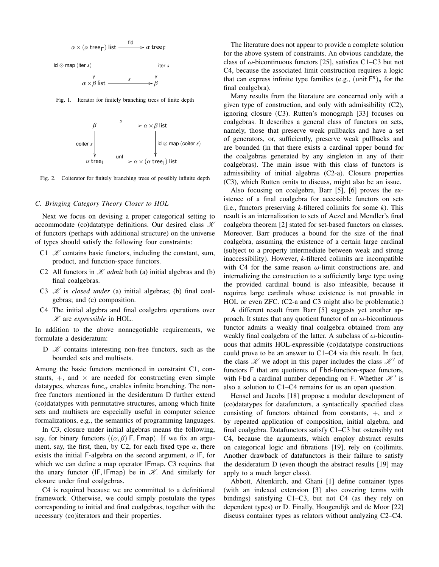

Fig. 1. Iterator for finitely branching trees of finite depth



Fig. 2. Coiterator for finitely branching trees of possibly infinite depth

## *C. Bringing Category Theory Closer to HOL*

Next we focus on devising a proper categorical setting to accommodate (co)datatype definitions. Our desired class  $\mathcal K$ of functors (perhaps with additional structure) on the universe of types should satisfy the following four constraints:

- C1  $\mathcal X$  contains basic functors, including the constant, sum, product, and function-space functors.
- C2 All functors in  $K$  *admit* both (a) initial algebras and (b) final coalgebras.
- C3  $K$  is *closed under* (a) initial algebras; (b) final coalgebras; and (c) composition.
- C4 The initial algebra and final coalgebra operations over K are *expressible* in HOL.

In addition to the above nonnegotiable requirements, we formulate a desideratum:

D  $\mathcal X$  contains interesting non-free functors, such as the bounded sets and multisets.

Among the basic functors mentioned in constraint C1, constants,  $+$ , and  $\times$  are needed for constructing even simple datatypes, whereas func<sub> $\alpha$ </sub> enables infinite branching. The nonfree functors mentioned in the desideratum D further extend (co)datatypes with permutative structures, among which finite sets and multisets are especially useful in computer science formalizations, e.g., the semantics of programming languages.

In C3, closure under initial algebras means the following, say, for binary functors  $((\alpha, \beta)$  F, Fmap). If we fix an argument, say, the first, then, by C2, for each fixed type  $\alpha$ , there exists the initial F-algebra on the second argument,  $\alpha$  IF, for which we can define a map operator IFmap. C3 requires that the unary functor (IF, IFmap) be in  $\mathcal{K}$ . And similarly for closure under final coalgebras.

C4 is required because we are committed to a definitional framework. Otherwise, we could simply postulate the types corresponding to initial and final coalgebras, together with the necessary (co)iterators and their properties.

The literature does not appear to provide a complete solution for the above system of constraints. An obvious candidate, the class of  $\omega$ -bicontinuous functors [25], satisfies C1–C3 but not C4, because the associated limit construction requires a logic that can express infinite type families (e.g.,  $(\text{unit } F^n)_n$  for the final coalgebra).

Many results from the literature are concerned only with a given type of construction, and only with admissibility (C2), ignoring closure (C3). Rutten's monograph [33] focuses on coalgebras. It describes a general class of functors on sets, namely, those that preserve weak pullbacks and have a set of generators, or, sufficiently, preserve weak pullbacks and are bounded (in that there exists a cardinal upper bound for the coalgebras generated by any singleton in any of their coalgebras). The main issue with this class of functors is admissibility of initial algebras (C2-a). Closure properties (C3), which Rutten omits to discuss, might also be an issue.

Also focusing on coalgebra, Barr [5], [6] proves the existence of a final coalgebra for accessible functors on sets (i.e., functors preserving *k*-filtered colimits for some *k*). This result is an internalization to sets of Aczel and Mendler's final coalgebra theorem [2] stated for set-based functors on classes. Moreover, Barr produces a bound for the size of the final coalgebra, assuming the existence of a certain large cardinal (subject to a property intermediate between weak and strong inaccessibility). However, *k*-filtered colimits are incompatible with C4 for the same reason  $\omega$ -limit constructions are, and internalizing the construction to a sufficiently large type using the provided cardinal bound is also infeasible, because it requires large cardinals whose existence is not provable in HOL or even ZFC. (C2-a and C3 might also be problematic.)

A different result from Barr [5] suggests yet another approach. It states that any quotient functor of an  $\omega$ -bicontinuous functor admits a weakly final coalgebra obtained from any weakly final coalgebra of the latter. A subclass of  $\omega$ -bicontinuous that admits HOL-expressible (co)datatype constructions could prove to be an answer to C1–C4 via this result. In fact, the class  $\mathcal{K}$  we adopt in this paper includes the class  $\mathcal{K}'$  of functors F that are quotients of Fbd-function-space functors, with Fbd a cardinal number depending on F. Whether  $\mathcal{K}'$  is also a solution to C1–C4 remains for us an open question.

Hensel and Jacobs [18] propose a modular development of (co)datatypes for datafunctors, a syntactically specified class consisting of functors obtained from constants,  $+$ , and  $\times$ by repeated application of composition, initial algebra, and final coalgebra. Datafunctors satisfy C1–C3 but ostensibly not C4, because the arguments, which employ abstract results on categorical logic and fibrations [19], rely on (co)limits. Another drawback of datafunctors is their failure to satisfy the desideratum D (even though the abstract results [19] may apply to a much larger class).

Abbott, Altenkirch, and Ghani [1] define container types (with an indexed extension [3] also covering terms with bindings) satisfying C1–C3, but not C4 (as they rely on dependent types) or D. Finally, Hoogendijk and de Moor [22] discuss container types as relators without analyzing C2–C4.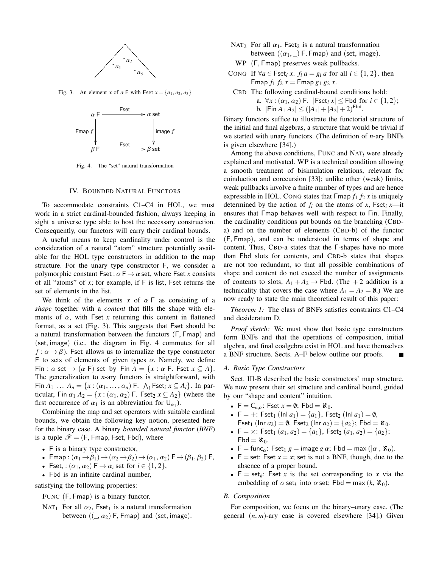

Fig. 3. An element *x* of  $\alpha$  F with Fset  $x = \{a_1, a_2, a_3\}$ 



Fig. 4. The "set" natural transformation

## IV. BOUNDED NATURAL FUNCTORS

To accommodate constraints C1–C4 in HOL, we must work in a strict cardinal-bounded fashion, always keeping in sight a universe type able to host the necessary construction. Consequently, our functors will carry their cardinal bounds.

A useful means to keep cardinality under control is the consideration of a natural "atom" structure potentially available for the HOL type constructors in addition to the map structure. For the unary type constructor F, we consider a polymorphic constant Fset :  $\alpha \to \alpha$  set, where Fset *x* consists of all "atoms" of *x*; for example, if F is list, Fset returns the set of elements in the list.

We think of the elements x of  $\alpha$  F as consisting of a *shape* together with a *content* that fills the shape with elements of  $\alpha$ , with Fset *x* returning this content in flattened format, as a set (Fig. 3). This suggests that Fset should be a natural transformation between the functors (F, Fmap) and (set, image) (i.e., the diagram in Fig. 4 commutes for all  $f: \alpha \rightarrow \beta$ ). Fset allows us to internalize the type constructor F to sets of elements of given types  $\alpha$ . Namely, we define Fin :  $\alpha$  set  $\rightarrow$   $(\alpha \in \mathbb{F})$  set by Fin  $A = \{x : \alpha \in \mathbb{F}$ . Fset  $x \subseteq A\}$ . The generalization to *n*-ary functors is straightforward, with Fin  $A_1$  ...  $A_n = \{x : (\alpha_1, ..., \alpha_n) \in \Lambda_i\}$  Fset<sub>*i*</sub>  $x \subseteq A_i\}$ . In particular, Fin  $\alpha_1$ ,  $A_2 = \{x : (\alpha_1, \alpha_2) \in \Lambda_i\}$  (where the ticular, Fin  $\alpha_1 A_2 = \{x : (\alpha_1, \alpha_2) \in \mathbb{R} \}$  (where the first occurrence of  $\alpha_1$  is an abbreviation for  $U_{\alpha_1}$ ).<br>Combining the map and set operators with suita

Combining the map and set operators with suitable cardinal bounds, we obtain the following key notion, presented here for the binary case. A binary *bounded natural functor* (*BNF*) is a tuple  $\mathscr{F} = (F, F \cap F)$  Fset, Fbd), where

- F is a binary type constructor,
- Fmap:  $(\alpha_1 \rightarrow \beta_1) \rightarrow (\alpha_2 \rightarrow \beta_2) \rightarrow (\alpha_1, \alpha_2)$  F $\rightarrow (\beta_1, \beta_2)$  F,
- Fset<sub>i</sub>:  $(\alpha_1, \alpha_2) \in \rightarrow \alpha_i$  set for  $i \in \{1, 2\}$ ,<br>Find is an infinite cardinal number
- Fbd is an infinite cardinal number,

satisfying the following properties:

<sup>F</sup>UNC (F, Fmap) is a binary functor.

NAT<sub>1</sub> For all  $\alpha_2$ , Fset<sub>1</sub> is a natural transformation between  $((\_, \alpha_2)$  F, Fmap) and (set, image).

- NAT<sub>2</sub> For all  $\alpha_1$ , Fset<sub>2</sub> is a natural transformation between  $((\alpha_1, \_)$  F, Fmap) and (set, image).
	- WP (F, Fmap) preserves weak pullbacks.
- CONG If  $\forall a \in \text{Fset}_i x$ .  $f_i a = g_i a$  for all  $i \in \{1, 2\}$ , then Fmap  $f_1 f_2 x =$  Fmap  $g_1 g_2 x$ .
- CBD The following cardinal-bound conditions hold: a.  $\forall x : (\alpha_1, \alpha_2)$  F.  $|\textsf{Fset}_i x| \le \textsf{Fbd}$  for  $i \in \{1,2\};$ b.  $|F \text{ in } A_1 A_2| \leq (|A_1| + |A_2| + 2)^{F \text{bd}}.$

Binary functors suffice to illustrate the functorial structure of the initial and final algebras, a structure that would be trivial if we started with unary functors. (The definition of *n*-ary BNFs is given elsewhere [34].)

Among the above conditions, FUNC and NAT*<sup>i</sup>* were already explained and motivated. WP is a technical condition allowing a smooth treatment of bisimulation relations, relevant for coinduction and corecursion [33]; unlike other (weak) limits, weak pullbacks involve a finite number of types and are hence expressible in HOL. CONG states that  $\mathsf{Fmap} f_1 f_2 x$  is uniquely determined by the action of  $f_i$  on the atoms of  $x$ , Fset<sub>*i*</sub>  $x$ —it ensures that Fmap behaves well with respect to Fin. Finally, the cardinality conditions put bounds on the branching (CBDa) and on the number of elements (CBD-b) of the functor (F, Fmap), and can be understood in terms of shape and content. Thus, CBD-a states that the F-shapes have no more than Fbd slots for contents, and CBD-b states that shapes are not too redundant, so that all possible combinations of shape and content do not exceed the number of assignments of contents to slots,  $A_1 + A_2 \rightarrow$  Fbd. (The +2 addition is a technicality that covers the case where  $A_1 = A_2 = \emptyset$ .) We are now ready to state the main theoretical result of this paper:

*Theorem 1:* The class of BNFs satisfies constraints C1–C4 and desideratum D.

*Proof sketch:* We must show that basic type constructors form BNFs and that the operations of composition, initial algebra, and final coalgebra exist in HOL and have themselves a BNF structure. Sects. A–F below outline our proofs.

#### *A. Basic Type Constructors*

Sect. III-B described the basic constructors' map structure. We now present their set structure and cardinal bound, guided by our "shape and content" intuition.

- $F = C_{n,\alpha}$ : Fset  $x = \emptyset$ ; Fbd =  $\aleph_0$ .
- $F = +:$  Fset<sub>1</sub> (Inl  $a_1$ ) = { $a_1$ }, Fset<sub>2</sub> (Inl  $a_1$ ) = 0, Fset<sub>1</sub> (Inr  $a_2$ ) = 0, Fset<sub>2</sub> (Inr  $a_2$ ) = { $a_2$ }; Fbd =  $\aleph_0$ .
- $F = \times$ : Fset<sub>1</sub>  $(a_1, a_2) = \{a_1\}$ , Fset<sub>2</sub>  $(a_1, a_2) = \{a_2\}$ ;  $Fbd = \aleph_0$ .
- F = func<sub>α</sub>: Fset<sub>1</sub> g = image g  $\alpha$ ; Fbd = max ( $|\alpha|$ ,  $\aleph_0$ ).
- $F = set$ : Fset  $x = x$ ; set is not a BNF, though, due to the absence of a proper bound.
- $F = set_k$ : Fset *x* is the set corresponding to *x* via the embedding of  $\alpha$  set<sub>k</sub> into  $\alpha$  set; Fbd = max  $(k, \aleph_0)$ .

## *B. Composition*

For composition, we focus on the binary–unary case. (The general (*n*, *<sup>m</sup>*)-ary case is covered elsewhere [34].) Given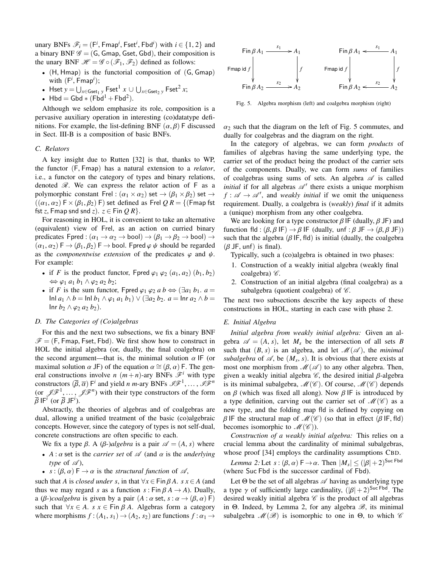unary BNFs  $\mathscr{F}_i = (F^i, Fmap^i, Fset^i, Fbd^i)$  with  $i \in \{1, 2\}$  and a binary BNF  $\mathscr{G} - (G, Gman, Gset, Gbd)$  their composition is a binary BNF  $\mathscr{G} = (G, G \cap \mathsf{G})$ , Gset, Gbd), their composition is the unary BNF  $\mathcal{H} = \mathcal{G} \circ (\mathcal{F}_1, \mathcal{F}_2)$  defined as follows:

- $(H, Hmap)$  is the functorial composition of  $(G, Gmap)$ with  $(F<sup>i</sup>, Fmap<sup>i</sup>)$ ; with  $(F^i, Fmap^i);$ <br>• Hset  $y = \bigcup_{x \in \text{Gset}_1 y} \text{Fset}^1 x \cup \bigcup_{x \in \text{Gset}_2 y} \text{Fset}^2 x;$
- 
- Hbd = Gbd  $*$  (Fbd<sup>1</sup> + Fbd<sup>2</sup>).

Although we seldom emphasize its role, composition is a pervasive auxiliary operation in interesting (co)datatype definitions. For example, the list-defining BNF  $(\alpha, \beta)$  F discussed in Sect. III-B is a composition of basic BNFs.

## *C. Relators*

A key insight due to Rutten [32] is that, thanks to WP, the functor (F, Fmap) has a natural extension to a *relator*, i.e., a functor on the category of types and binary relations, denoted  $\mathscr R$ . We can express the relator action of  $F$  as a polymorphic constant Frel :  $(\alpha_1 \times \alpha_2)$  set  $\rightarrow (\beta_1 \times \beta_2)$  set  $\rightarrow$  $((\alpha_1, \alpha_2) \ F \times (\beta_1, \beta_2) \ F)$  set defined as Frel  $\overline{Q}R = \{(\text{Fmap fst})\}$ fst *z*, Fmap snd snd *z*).  $z \in$  Fin  $QR$ .

For reasoning in HOL, it is convenient to take an alternative (equivalent) view of Frel, as an action on curried binary predicates Fpred :  $(\alpha_1 \rightarrow \alpha_2 \rightarrow \text{bool}) \rightarrow (\beta_1 \rightarrow \beta_2 \rightarrow \text{bool}) \rightarrow$  $(\alpha_1, \alpha_2) \to (\beta_1, \beta_2) \to \text{bool}$ . Fived  $\varphi \psi$  should be regarded as the *componentwise extension* of the predicates  $\varphi$  and  $\psi$ . For example:

- if *F* is the product functor, Fpred  $\varphi_1$   $\varphi_2$   $(a_1, a_2)$   $(b_1, b_2)$  $\Leftrightarrow$   $\varphi_1$  *a*<sub>1</sub> *b*<sub>1</sub> ∧  $\varphi_2$  *a*<sub>2</sub> *b*<sub>2</sub>;
- if *F* is the sum functor, Fpred  $\varphi_1 \varphi_2 a b \Leftrightarrow (\exists a_1 b_1, a =$ Inl *<sup>a</sup>*<sup>1</sup> <sup>∧</sup> *<sup>b</sup>* <sup>=</sup> Inl *<sup>b</sup>*<sup>1</sup> <sup>∧</sup> <sup>ϕ</sup><sup>1</sup> *<sup>a</sup>*<sup>1</sup> *<sup>b</sup>*1) <sup>∨</sup> (∃*a*<sup>2</sup> *<sup>b</sup>*2. *<sup>a</sup>* <sup>=</sup> Inr *<sup>a</sup>*<sup>2</sup> <sup>∧</sup> *<sup>b</sup>* <sup>=</sup> Inr *<sup>b</sup>*<sup>2</sup> <sup>∧</sup> <sup>ϕ</sup><sup>2</sup> *<sup>a</sup>*<sup>2</sup> *<sup>b</sup>*2).

#### *D. The Categories of (Co)algebras*

For this and the next two subsections, we fix a binary BNF  $\mathscr{F} = (F, Fmap, Fset, Fbd)$ . We first show how to construct in HOL the initial algebra (or, dually, the final coalgebra) on the second argument—that is, the minimal solution  $\alpha$  IF (or maximal solution  $\alpha$  JF) of the equation  $\alpha \cong (\beta, \alpha)$  F. The general constructions involve *n*  $(m+n)$ -ary BNFs  $\mathcal{F}^i$  with type constructors  $(\overline{\beta}, \overline{\alpha})$  F<sup>*i*</sup> and yield *n m*-ary BNFs  $\mathscr{I}^{\mathcal{F}^1}, \ldots, \mathscr{I}^{\mathcal{F}^n}$ <br>(or  $\mathscr{I}^{\mathcal{F}^1}$   $\mathscr{I}^{\mathcal{F}^n}$ ) with their type constructors of the form (or  $\mathscr{J}(\mathscr{F}^1, \ldots, \mathscr{J}(\mathscr{F}^n))$  with their type constructors of the form  $\overline{\beta}$  IF<sup>*i*</sup> (or  $\overline{\beta}$  JF<sup>*i*</sup>).<br>Abstractly the

Abstractly, the theories of algebras and of coalgebras are dual, allowing a unified treatment of the basic (co)algebraic concepts. However, since the category of types is not self-dual, concrete constructions are often specific to each.

We fix a type  $\beta$ . A  $(\beta$ -*)algebra* is a pair  $\mathscr{A} = (A, s)$  where

- $A: \alpha$  set is the *carrier set* of  $\mathscr A$  (and  $\alpha$  is the *underlying type* of  $\mathscr A$ ,
- *s* :  $(\beta, \alpha)$  F  $\rightarrow \alpha$  is the *structural function* of  $\mathcal{A}$ ,

such that *A* is *closed under s*, in that  $\forall x \in \text{Fin } \beta A$ . *s*  $x \in A$  (and thus we may regard *s* as a function *s* : Fin  $\beta A \rightarrow A$ ). Dually, a ( $\beta$ -)*coalgebra* is given by a pair  $(A : \alpha \text{ set}, s : \alpha \rightarrow (\beta, \alpha) \text{ F})$ such that  $\forall x \in A$ . *s*  $x \in \text{Fin } \beta A$ . Algebras form a category where morphisms  $f:(A_1, s_1) \rightarrow (A_2, s_2)$  are functions  $f: \alpha_1 \rightarrow$ 



Fig. 5. Algebra morphism (left) and coalgebra morphism (right)

 $\alpha_2$  such that the diagram on the left of Fig. 5 commutes, and dually for coalgebras and the diagram on the right.

In the category of algebras, we can form *products* of families of algebras having the same underlying type, the carrier set of the product being the product of the carrier sets of the components. Dually, we can form *sums* of families of coalgebras using sums of sets. An algebra  $\mathscr A$  is called *initial* if for all algebras  $\mathscr{A}'$  there exists a unique morphism  $f : \mathscr{A} \to \mathscr{A}'$ , and *weakly initial* if we omit the uniqueness requirement. Dually, a coalgebra is (*weakly*) *final* if it admits a (unique) morphism from any other coalgebra.

We are looking for a type constructor  $\beta$  IF (dually,  $\beta$  JF) and function fld :  $(\beta, \beta \mid F) \rightarrow \beta \mid F$  (dually, unf :  $\beta \mid F \rightarrow (\beta, \beta \mid F)$ ) such that the algebra  $(\beta \mid F, \text{fld})$  is initial (dually, the coalgebra  $(\beta$  JF, unf) is final).

Typically, such a (co)algebra is obtained in two phases:

- 1. Construction of a weakly initial algebra (weakly final coalgebra)  $\mathscr{C}$ .
- 2. Construction of an initial algebra (final coalgebra) as a subalgebra (quotient coalgebra) of  $\mathscr{C}$ .

The next two subsections describe the key aspects of these constructions in HOL, starting in each case with phase 2.

## *E. Initial Algebra*

*Initial algebra from weakly initial algebra:* Given an algebra  $\mathscr{A} = (A, s)$ , let  $M_s$  be the intersection of all sets *B* such that  $(B, s)$  is an algebra, and let  $\mathcal{M}(\mathcal{A})$ , the *minimal subalgebra* of  $\mathscr A$ , be  $(M_s, s)$ . It is obvious that there exists at most one morphism from  $\mathscr A(\mathscr A)$  to any other algebra. Then most one morphism from  $\mathcal{M}(\mathcal{A})$  to any other algebra. Then, given a weakly initial algebra  $\mathscr{C}$ , the desired initial  $\beta$ -algebra is its minimal subalgebra,  $\mathcal{M}(\mathcal{C})$ . Of course,  $\mathcal{M}(\mathcal{C})$  depends on  $\beta$  (which was fixed all along). Now  $\beta$  IF is introduced by a type definition, carving out the carrier set of  $\mathcal{M}(\mathscr{C})$  as a new type, and the folding map fld is defined by copying on β IF the structural map of  $\mathcal{M}(\mathcal{C})$  (so that in effect (β IF, fld) becomes isomorphic to  $\mathcal{M}(\mathcal{C})$ ).

*Construction of a weakly initial algebra:* This relies on a crucial lemma about the cardinality of minimal subalgebras, whose proof [34] employs the cardinality assumptions CBD.

*Lemma 2:* Let  $s : (\beta, \alpha) \to \alpha$ . Then  $|M_s| \leq (|\beta| + 2)^{\text{Suc Fbd}}$ <br>here Suc Ebd is the successor cardinal of Ebd) (where Suc Fbd is the successor cardinal of Fbd).

Let  $\Theta$  be the set of all algebras  $\mathscr A$  having as underlying type a type  $\gamma$  of sufficiently large cardinality,  $(|\beta| + 2)^{\text{Suc}\text{Fbd}}$ . The desired weakly initial algebra  $\mathscr C$  is the product of all algebras desired weakly initial algebra  $\mathscr C$  is the product of all algebras in Θ. Indeed, by Lemma 2, for any algebra  $\mathcal{B}$ , its minimal subalgebra  $\mathcal{M}(\mathcal{B})$  is isomorphic to one in  $\Theta$ , to which  $\mathcal C$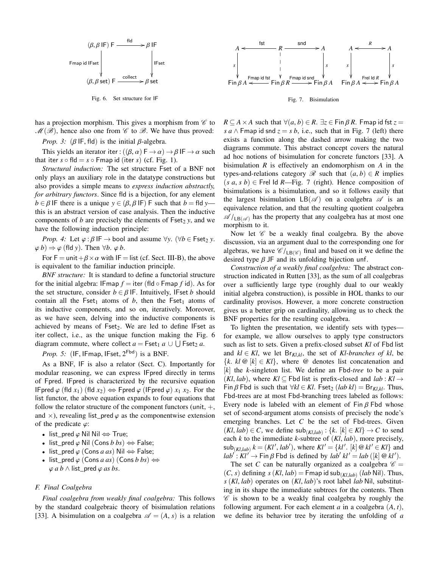

Fig. 6. Set structure for IF

has a projection morphism. This gives a morphism from  $\mathscr C$  to  $\mathcal{M}(\mathcal{B})$ , hence also one from  $\mathcal C$  to  $\mathcal B$ . We have thus proved:

*Prop.* 3:  $(\beta \mid \mathsf{F}, \mathsf{f} \mid \mathsf{d})$  is the initial  $\beta$ -algebra.

This yields an iterator iter :  $((\beta, \alpha) \mathsf{F} \to \alpha) \to \beta \mathsf{IF} \to \alpha$  such that iter  $s \circ \text{fld} = s \circ \text{Fmap}$  id (iter  $s$ ) (cf. Fig. 1).

*Structural induction:* The set structure Fset of a BNF not only plays an auxiliary role in the datatype constructions but also provides a simple means to *express induction abstractly, for arbitrary functors*. Since fld is a bijection, for any element  $b \in \beta$  IF there is a unique  $y \in (\beta, \beta \mid F)$  F such that  $b = f \mid d$  *y* this is an abstract version of case analysis. Then the inductive components of *b* are precisely the elements of  $\text{Fset}_2$  *y*, and we have the following induction principle:

*Prop.* 4: Let  $\varphi : \beta \models \rightarrow \text{bool}$  and assume  $\forall y$ . ( $\forall b \in \text{Fset}_2$  *y*.  $\varphi$ *b*)  $\Rightarrow \varphi$  (fld *y*). Then  $\forall b$ .  $\varphi$ *b*.

For  $F = \text{unit} + \beta \times \alpha$  with IF = list (cf. Sect. III-B), the above is equivalent to the familiar induction principle.

*BNF structure:* It is standard to define a functorial structure for the initial algebra: IFmap  $f =$  iter (fld  $\circ$  Fmap  $f$  id). As for the set structure, consider  $b \in \beta$  IF. Intuitively, IFset *b* should contain all the Fset<sub>1</sub> atoms of *b*, then the Fset<sub>1</sub> atoms of its inductive components, and so on, iteratively. Moreover, as we have seen, delving into the inductive components is achieved by means of  $Fset_2$ . We are led to define IFset as iter collect, i.e., as the unique function making the Fig. 6 diagram commute, where collect  $a = \text{Fset}_1 a \cup \bigcup \text{Fset}_2 a$ .

*Prop. 5:* (IF, IFmap, IFset,  $2^{\text{Fbd}}$ ) is a BNF.

As a BNF, IF is also a relator (Sect. C). Importantly for modular reasoning, we can express IFpred directly in terms of Fpred. IFpred is characterized by the recursive equation IFpred  $\varphi$  (fld *x*<sub>1</sub>) (fld *x*<sub>2</sub>)  $\Leftrightarrow$  Fpred  $\varphi$  (IFpred  $\varphi$ ) *x*<sub>1</sub> *x*<sub>2</sub>. For the list functor, the above equation expands to four equations that follow the relator structure of the component functors (unit,  $+$ , and  $\times$ ), revealing list pred  $\varphi$  as the componentwise extension of the predicate  $\varphi$ :

- list\_pred  $\varphi$  Nil Nil  $\Leftrightarrow$  True;
- list\_pred  $\varphi$  Nil (Cons *b bs*)  $\Leftrightarrow$  False;
- list pred  $\varphi$  (Cons *a as*) Nil  $\Leftrightarrow$  False;
- list\_pred  $\varphi$  (Cons *a as*) (Cons *b bs*)  $\Leftrightarrow$  $\varphi$  *a b*  $\wedge$  list pred  $\varphi$  *as bs.*

## *F. Final Coalgebra*

*Final coalgebra from weakly final coalgebra:* This follows by the standard coalgebraic theory of bisimulation relations [33]. A bisimulation on a coalgebra  $\mathscr{A} = (A, s)$  is a relation





 $R \subseteq A \times A$  such that  $\forall (a, b) \in R$ .  $\exists z \in F$  in  $\beta R$ . Fmap id fst  $z =$ *s a* ∧ Fmap id snd  $z = s b$ , i.e., such that in Fig. 7 (left) there exists a function along the dashed arrow making the two diagrams commute. This abstract concept covers the natural ad hoc notions of bisimulation for concrete functors [33]. A bisimulation *R* is effectively an endomorphism on *A* in the types-and-relations category  $\mathscr R$  such that  $(a, b) \in R$  implies  $(s \, a, s \, b) \in$  Frel Id *R*—Fig. 7 (right). Hence composition of bisimulations is a bisimulation, and so it follows easily that the largest bisimulation  $LB(\mathscr{A})$  on a coalgebra  $\mathscr A$  is an equivalence relation, and that the resulting quotient coalgebra  $\mathscr{A}/_{LB}(\mathscr{A})$  has the property that any coalgebra has at most one morphism to it.

Now let  $\mathscr C$  be a weakly final coalgebra. By the above discussion, via an argument dual to the corresponding one for algebras, we have  $\mathscr{C}/_{LB(\mathscr{C})}$  final and based on it we define the desired type  $\beta$  JF and its unfolding bijection unf.

*Construction of a weakly final coalgebra:* The abstract construction indicated in Rutten [33], as the sum of all coalgebras over a sufficiently large type (roughly dual to our weakly initial algebra construction), is possible in HOL thanks to our cardinality provisos. However, a more concrete construction gives us a better grip on cardinality, allowing us to check the BNF properties for the resulting coalgebra.

To lighten the presentation, we identify sets with types for example, we allow ourselves to apply type constructors such as list to sets. Given a prefix-closed subset *Kl* of Fbd list and  $kl \in Kl$ , we let  $Br_{Kl,kl}$ , the set of *Kl-branches of kl*, be  ${k, k \in \mathbb{Q} \mid k} \in K l$ , where  $\Theta$  denotes list concatenation and [*k*] the *k*-singleton list. We define an Fbd*-tree* to be a pair  $(Kl, lab)$ , where  $Kl \subseteq$  Fbd list is prefix-closed and  $lab : Kl \rightarrow$ Fin β Fbd is such that  $\forall kl \in Kl$ . Fset<sub>2</sub> (*lab kl*) = Br<sub>*Kl kl*</sub>. Thus, Fbd-trees are at most Fbd-branching trees labeled as follows: Every node is labeled with an element of Fin  $\beta$  Fbd whose set of second-argument atoms consists of precisely the node's emerging branches. Let *C* be the set of Fbd-trees. Given  $(Kl, lab) \in C$ , we define  $\text{sub}_{(Kl, lab)}$ :  $\{k, [k] \in Kl\} \rightarrow C$  to send each k to the immediate k-subtree of  $(Kl, lab)$  more precisely each *<sup>k</sup>* to the immediate *<sup>k</sup>*-subtree of (*Kl*, *lab*), more precisely,  $\mathbf{Sub}_{(Kl,lab)} k = (Kl', lab'), \text{ where } Kl' = \{kl'. [k] \otimes kl' \in Kl\} \text{ and } \mathbf{Sub}' \cdot Kl' \rightarrow \text{Ein } B \in \text{End} \text{ is defined by } lab' \cdot kl' - lab([k] \otimes kl')$  $lab' : Kl' \rightarrow Fin \beta$  Fbd is defined by  $lab' kl' = lab ([k] \mathcal{Q} kl')$ .<br>The set C can be naturally organized as a coalgebra  $\mathcal{L} \rightarrow$ 

The set *C* can be naturally organized as a coalgebra  $\mathcal{C} =$  $(C, s)$  defining  $s(Kl, lab)$  = Fmap id sub $(Kl, lab)$  (*lab* Nil). Thus,<br> $s(Kl, lab)$  operates on  $(Kl, lab)$ 's root label *lab* Nil, substitut*<sup>s</sup>* (*Kl*, *lab*) operates on (*Kl*, *lab*)'s root label *lab* Nil, substituting in its shape the immediate subtrees for the contents. Then  $\mathscr C$  is shown to be a weakly final coalgebra by roughly the following argument. For each element  $a$  in a coalgebra  $(A, t)$ , we define its behavior tree by iterating the unfolding of *a*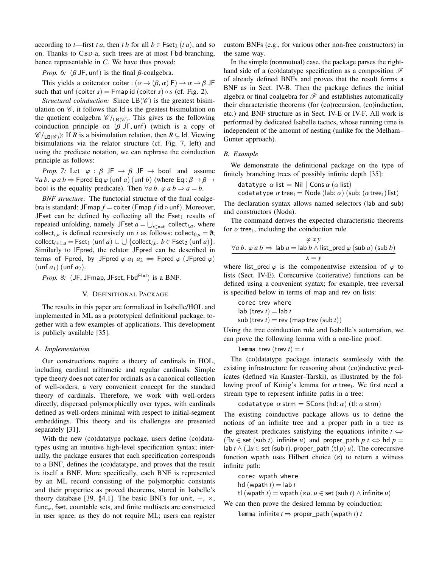according to *t*—first *t a*, then *t b* for all  $b \in \text{Fset}_2$  (*t a*), and so on. Thanks to CBD-a, such trees are at most Fbd-branching, hence representable in *C*. We have thus proved:

*Prop.* 6:  $(\beta \text{ JF}, \text{unf})$  is the final  $\beta$ -coalgebra.

This yields a coiterator coiter :  $(\alpha \rightarrow (\beta, \alpha) \mathsf{F}) \rightarrow \alpha \rightarrow \beta \mathsf{J} \mathsf{F}$ such that unf (coiter  $s$ ) = Fmap id (coiter  $s$ )  $\circ$  *s* (cf. Fig. 2).

*Structural coinduction:* Since  $LB(\mathscr{C})$  is the greatest bisimulation on  $\mathscr{C}$ , it follows that Id is the greatest bisimulation on the quotient coalgebra  $\mathcal{C}/_{\text{LB}}(\mathcal{C})$ . This gives us the following<br>coinduction principle on  $(\mathcal{R} \mid \text{E} \mid \text{unf})$  (which is a copy of coinduction principle on  $(\beta \text{ JF}, \text{unf})$  (which is a copy of  $\mathcal{C}/_{LB(\mathcal{C})}$ : If *R* is a bisimulation relation, then  $R \subseteq$  Id. Viewing bisimulations via the relator structure (cf. Fig. 7, left) and bisimulations via the relator structure (cf. Fig. 7, left) and using the predicate notation, we can rephrase the coinduction principle as follows:

*Prop.* 7: Let  $\varphi : \beta \cup F \rightarrow \beta \cup F \rightarrow \text{bool}$  and assume  $\forall a \, b. \ \varphi \, a \, b \Rightarrow \mathsf{Fpred} \, \mathsf{Eq} \varphi \, (\text{unf } a) \, (\text{unf } b) \, (\text{where } \mathsf{Eq} : \beta \to \beta \to \mathsf{F} \, \text{or} \, \mathsf{F} \, \text{or} \, \mathsf{F} \, \text{or} \, \mathsf{F} \, \text{or} \, \mathsf{F} \, \text{or} \, \mathsf{F} \, \text{or} \, \mathsf{F} \, \text{or} \, \mathsf{F} \, \text{or} \, \mathsf{F} \, \text{or} \, \mathsf{F}$ bool is the equality predicate). Then  $\forall a \, b$ .  $\varphi \, a \, b \Rightarrow a = b$ .

*BNF structure:* The functorial structure of the final coalgebra is standard: JFmap  $f =$  coiter (Fmap  $f$  id  $\circ$  unf). Moreover, JFset can be defined by collecting all the Fset<sub>1</sub> results of repeated unfolding, namely JFset  $a = \bigcup_{i \in \text{nat}}$  collect<sub>*i,a*</sub>, where collect<sub>*i*,*a*</sub> is defined recursively on *i* as follows: collect<sub>0,*a*</sub> =  $\emptyset$ ;  $\text{collect}_{i+1,a} = \text{Fset}_1 \text{ (unf } a) \cup \bigcup \{\text{collect}_{i,b}, b \in \text{Fset}_2 \text{ (unf } a)\}.$ <br>Similarly to IEpred, the relator, IEpred, can be described in Similarly to IFpred, the relator JFpred can be described in terms of Fpred, by JFpred  $\varphi$  *a*<sub>1</sub> *a*<sub>2</sub>  $\Leftrightarrow$  Fpred  $\varphi$  (JFpred  $\varphi$ )  $(unf a<sub>1</sub>)$   $(unf a<sub>2</sub>)$ .

*Prop. 8:* (JF, JFmap, JFset, Fbd<sup>Fbd</sup>) is a BNF.

## V. DEFINITIONAL PACKAGE

The results in this paper are formalized in Isabelle/HOL and implemented in ML as a prototypical definitional package, together with a few examples of applications. This development is publicly available [35].

## *A. Implementation*

Our constructions require a theory of cardinals in HOL, including cardinal arithmetic and regular cardinals. Simple type theory does not cater for ordinals as a canonical collection of well-orders, a very convenient concept for the standard theory of cardinals. Therefore, we work with well-orders directly, dispersed polymorphically over types, with cardinals defined as well-orders minimal with respect to initial-segment embeddings. This theory and its challenges are presented separately [31].

With the new (co)datatype package, users define (co)datatypes using an intuitive high-level specification syntax; internally, the package ensures that each specification corresponds to a BNF, defines the (co)datatype, and proves that the result is itself a BNF. More specifically, each BNF is represented by an ML record consisting of the polymorphic constants and their properties as proved theorems, stored in Isabelle's theory database [39, §4.1]. The basic BNFs for unit,  $+$ ,  $\times$ ,  $func_{\alpha}$ , fset, countable sets, and finite multisets are constructed in user space, as they do not require ML; users can register custom BNFs (e.g., for various other non-free constructors) in the same way.

In the simple (nonmutual) case, the package parses the righthand side of a (co)datatype specification as a composition  $\mathscr F$ of already defined BNFs and proves that the result forms a BNF as in Sect. IV-B. Then the package defines the initial algebra or final coalgebra for  $\mathscr F$  and establishes automatically their characteristic theorems (for (co)recursion, (co)induction, etc.) and BNF structure as in Sect. IV-E or IV-F. All work is performed by dedicated Isabelle tactics, whose running time is independent of the amount of nesting (unlike for the Melham– Gunter approach).

# *B. Example*

We demonstrate the definitional package on the type of finitely branching trees of possibly infinite depth [35]:

datatype 
$$
\alpha
$$
 list = Nil | Cons  $\alpha$  (a list)  
coefficients are a line. Note that  $\alpha$  (a list)

$$
\verb+codattype+ \alpha tree_{\textsf{I}} = \textsf{Node}\,(\textsf{lab:}\,\alpha)\,(\textsf{sub:}\,(\alpha\,\textsf{tree}_{\textsf{I}})\,\textsf{list})
$$

codatatype  $\alpha$  tree<sub>I</sub> = Node (lab:  $\alpha$ ) (sub: ( $\alpha$  tree<sub>I</sub>)list)<br>The declaration syntax allows named selectors (lab and sub) and constructors (Node).

The command derives the expected characteristic theorems for  $\alpha$  tree<sub>1</sub>, including the coinduction rule

$$
\frac{\varphi xy}{\forall a b. \varphi a b \Rightarrow \text{ lab } a = \text{lab } b \land \text{list\_pred } \varphi (\text{sub } a) (\text{sub } b)}{x = y}
$$

where list\_pred  $\varphi$  is the componentwise extension of  $\varphi$  to lists (Sect. IV-E). Corecursive (coiterative) functions can be defined using a convenient syntax; for example, tree reversal is specified below in terms of map and rev on lists:

$$
corec\;trev\;where
$$
\n
$$
lab\; (trev\;t) = lab\;t
$$
\n
$$
sub\; (trev\;t) = rev\; (map\;trev\; (sub\;t))
$$

Using the tree coinduction rule and Isabelle's automation, we can prove the following lemma with a one-line proof:

lemma trev  $(\text{trev } t) = t$ 

The (co)datatype package interacts seamlessly with the existing infrastructure for reasoning about (co)inductive predicates (defined via Knaster–Tarski), as illustrated by the following proof of König's lemma for  $\alpha$  tree<sub>1</sub>. We first need a stream type to represent infinite paths in a tree: stream type to represent infinite paths in a tree:

```
codatatype \alpha strm = SCons (hd: \alpha) (tl: \alpha strm)
```
The existing coinductive package allows us to define the notions of an infinite tree and a proper path in a tree as the greatest predicates satisfying the equations infinite  $t \Leftrightarrow$  $(\exists u \in \text{set} (\text{sub } t)$ . infinite *u*) and proper path  $p \neq \emptyset$  hd  $p =$ lab *<sup>t</sup>* <sup>∧</sup> (∃*<sup>u</sup>* <sup>∈</sup> set (sub *<sup>t</sup>*). proper\_path (tl *<sup>p</sup>*) *<sup>u</sup>*). The corecursive function wpath uses Hilbert choice  $(\varepsilon)$  to return a witness infinite path:

```
corec wpath where
hd (wpath t) = lab t
```
tl (wpath  $t$ ) = wpath ( $\varepsilon u$ .  $u \in$  set (sub  $t$ )  $\wedge$  infinite  $u$ )

We can then prove the desired lemma by coinduction:

lemma infinite  $t \Rightarrow$  proper path (wpath *t*) *t*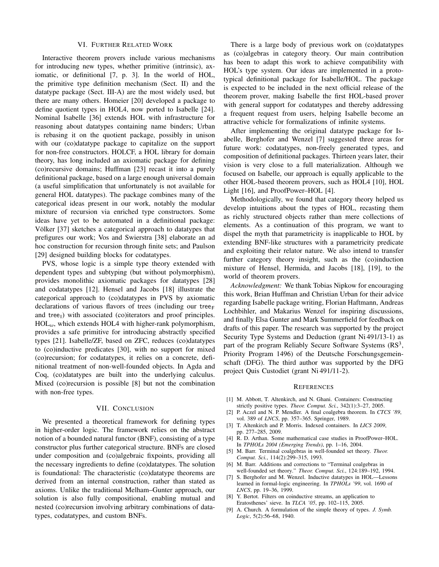#### VI. FURTHER RELATED WORK

Interactive theorem provers include various mechanisms for introducing new types, whether primitive (intrinsic), axiomatic, or definitional [7, p. 3]. In the world of HOL, the primitive type definition mechanism (Sect. II) and the datatype package (Sect. III-A) are the most widely used, but there are many others. Homeier [20] developed a package to define quotient types in HOL4, now ported to Isabelle [24]. Nominal Isabelle [36] extends HOL with infrastructure for reasoning about datatypes containing name binders; Urban is rebasing it on the quotient package, possibly in unison with our (co)datatype package to capitalize on the support for non-free constructors. HOLCF, a HOL library for domain theory, has long included an axiomatic package for defining (co)recursive domains; Huffman [23] recast it into a purely definitional package, based on a large enough universal domain (a useful simplification that unfortunately is not available for general HOL datatypes). The package combines many of the categorical ideas present in our work, notably the modular mixture of recursion via enriched type constructors. Some ideas have yet to be automated in a definitional package: Völker [37] sketches a categorical approach to datatypes that prefigures our work; Vos and Swierstra [38] elaborate an ad hoc construction for recursion through finite sets; and Paulson [29] designed building blocks for codatatypes.

PVS, whose logic is a simple type theory extended with dependent types and subtyping (but without polymorphism), provides monolithic axiomatic packages for datatypes [28] and codatatypes [12]. Hensel and Jacobs [18] illustrate the categorical approach to (co)datatypes in PVS by axiomatic declarations of various flavors of trees (including our tree $_F$ and tree<sub>1</sub>) with associated (co)iterators and proof principles.  $HOL<sub>ω</sub>$ , which extends HOL4 with higher-rank polymorphism, provides a safe primitive for introducing abstractly specified types [21]. Isabelle/ZF, based on ZFC, reduces (co)datatypes to (co)inductive predicates [30], with no support for mixed (co)recursion; for codatatypes, it relies on a concrete, definitional treatment of non-well-founded objects. In Agda and Coq, (co)datatypes are built into the underlying calculus. Mixed (co)recursion is possible [8] but not the combination with non-free types.

# VII. CONCLUSION

We presented a theoretical framework for defining types in higher-order logic. The framework relies on the abstract notion of a bounded natural functor (BNF), consisting of a type constructor plus further categorical structure. BNFs are closed under composition and (co)algebraic fixpoints, providing all the necessary ingredients to define (co)datatypes. The solution is foundational: The characteristic (co)datatype theorems are derived from an internal construction, rather than stated as axioms. Unlike the traditional Melham–Gunter approach, our solution is also fully compositional, enabling mutual and nested (co)recursion involving arbitrary combinations of datatypes, codatatypes, and custom BNFs.

There is a large body of previous work on (co)datatypes as (co)algebras in category theory. Our main contribution has been to adapt this work to achieve compatibility with HOL's type system. Our ideas are implemented in a prototypical definitional package for Isabelle/HOL. The package is expected to be included in the next official release of the theorem prover, making Isabelle the first HOL-based prover with general support for codatatypes and thereby addressing a frequent request from users, helping Isabelle become an attractive vehicle for formalizations of infinite systems.

After implementing the original datatype package for Isabelle, Berghofer and Wenzel [7] suggested three areas for future work: codatatypes, non-freely generated types, and composition of definitional packages. Thirteen years later, their vision is very close to a full materialization. Although we focused on Isabelle, our approach is equally applicable to the other HOL-based theorem provers, such as HOL4 [10], HOL Light [16], and ProofPower–HOL [4].

Methodologically, we found that category theory helped us develop intuitions about the types of HOL, recasting them as richly structured objects rather than mere collections of elements. As a continuation of this program, we want to dispel the myth that parametricity is inapplicable to HOL by extending BNF-like structures with a parametricity predicate and exploiting their relator nature. We also intend to transfer further category theory insight, such as the (co)induction mixture of Hensel, Hermida, and Jacobs [18], [19], to the world of theorem provers.

*Acknowledgment:* We thank Tobias Nipkow for encouraging this work, Brian Huffman and Christian Urban for their advice regarding Isabelle package writing, Florian Haftmann, Andreas Lochbihler, and Makarius Wenzel for inspiring discussions, and finally Elsa Gunter and Mark Summerfield for feedback on drafts of this paper. The research was supported by the project Security Type Systems and Deduction (grant Ni 491/13-1) as part of the program Reliably Secure Software Systems  $(RS<sup>3</sup>,$ Priority Program 1496) of the Deutsche Forschungsgemeinschaft (DFG). The third author was supported by the DFG project Quis Custodiet (grant Ni 491/11-2).

#### **REFERENCES**

- [1] M. Abbott, T. Altenkirch, and N. Ghani. Containers: Constructing
- strictly positive types. *Theor. Comput. Sci.*, 342(1):3–27, 2005. [2] P. Aczel and N. P. Mendler. A final coalgebra theorem. In *CTCS '89*, vol. 389 of *LNCS*, pp. 357–365. Springer, 1989.
- [3] T. Altenkirch and P. Morris. Indexed containers. In *LICS 2009*, pp. 277–285, 2009.
- [4] R. D. Arthan. Some mathematical case studies in ProofPower–HOL. In *TPHOLs 2004 (Emerging Trends)*, pp. 1–16, 2004.
- [5] M. Barr. Terminal coalgebras in well-founded set theory. *Theor. Comput. Sci.*, 114(2):299–315, 1993.
- [6] M. Barr. Additions and corrections to "Terminal coalgebras in well-founded set theory." *Theor. Comput. Sci.*, 124:189–192, 1994.
- [7] S. Berghofer and M. Wenzel. Inductive datatypes in HOL—Lessons learned in formal-logic engineering. In *TPHOLs '99*, vol. 1690 of *LNCS*, pp. 19–36, 1999.
- [8] Y. Bertot. Filters on coinductive streams, an application to Eratosthenes' sieve. In *TLCA '05*, pp. 102–115, 2005.
- [9] A. Church. A formulation of the simple theory of types. *J. Symb. Logic*, 5(2):56–68, 1940.